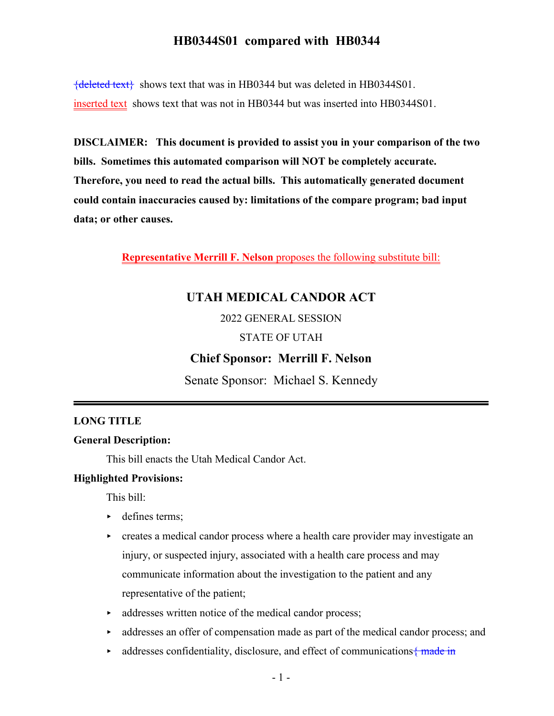${deleted text}$  shows text that was in HB0344 but was deleted in HB0344S01. inserted text shows text that was not in HB0344 but was inserted into HB0344S01.

**DISCLAIMER: This document is provided to assist you in your comparison of the two bills. Sometimes this automated comparison will NOT be completely accurate. Therefore, you need to read the actual bills. This automatically generated document could contain inaccuracies caused by: limitations of the compare program; bad input data; or other causes.**

**Representative Merrill F. Nelson** proposes the following substitute bill:

# **UTAH MEDICAL CANDOR ACT**

2022 GENERAL SESSION

#### STATE OF UTAH

## **Chief Sponsor: Merrill F. Nelson**

Senate Sponsor: Michael S. Kennedy

### **LONG TITLE**

#### **General Description:**

This bill enacts the Utah Medical Candor Act.

#### **Highlighted Provisions:**

This bill:

- $\blacktriangleright$  defines terms;
- creates a medical candor process where a health care provider may investigate an injury, or suspected injury, associated with a health care process and may communicate information about the investigation to the patient and any representative of the patient;
- $\triangleright$  addresses written notice of the medical candor process;
- $\blacktriangleright$  addresses an offer of compensation made as part of the medical candor process; and
- $\blacktriangleright$  addresses confidentiality, disclosure, and effect of communications { made in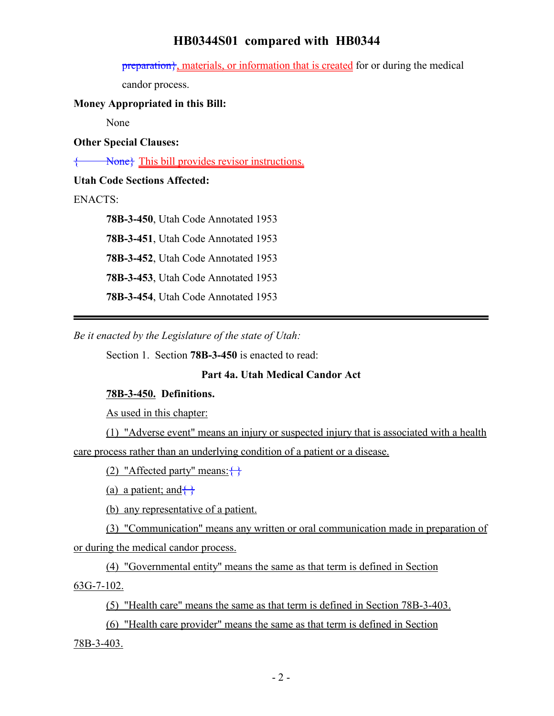preparation<sup>}</sup>, materials, or information that is created for or during the medical

candor process.

### **Money Appropriated in this Bill:**

None

**Other Special Clauses:**

 $\overrightarrow{\text{None}}$  This bill provides revisor instructions.

### **Utah Code Sections Affected:**

### ENACTS:

**78B-3-450**, Utah Code Annotated 1953 **78B-3-451**, Utah Code Annotated 1953 **78B-3-452**, Utah Code Annotated 1953 **78B-3-453**, Utah Code Annotated 1953 **78B-3-454**, Utah Code Annotated 1953

*Be it enacted by the Legislature of the state of Utah:*

Section 1. Section **78B-3-450** is enacted to read:

## **Part 4a. Utah Medical Candor Act**

## **78B-3-450. Definitions.**

As used in this chapter:

(1) "Adverse event" means an injury or suspected injury that is associated with a health care process rather than an underlying condition of a patient or a disease.

(2) "Affected party" means: $\{\}$ 

(a) a patient; and  $\leftrightarrow$ 

(b) any representative of a patient.

(3) "Communication" means any written or oral communication made in preparation of or during the medical candor process.

(4) "Governmental entity" means the same as that term is defined in Section 63G-7-102.

(5) "Health care" means the same as that term is defined in Section 78B-3-403.

(6) "Health care provider" means the same as that term is defined in Section 78B-3-403.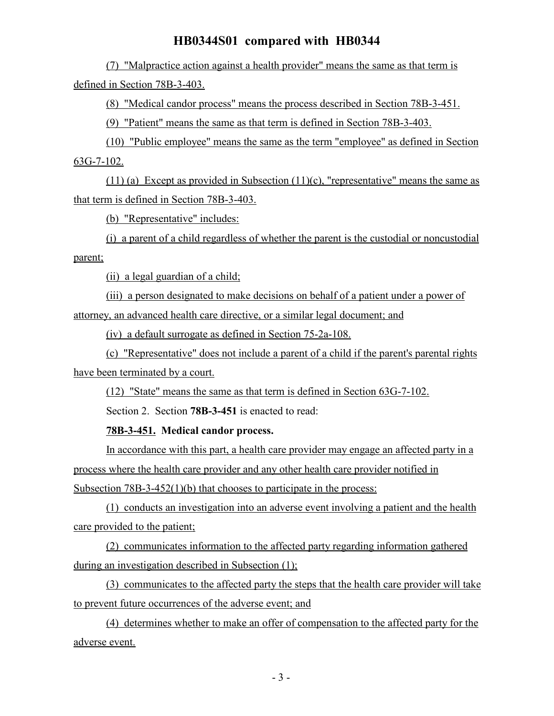(7) "Malpractice action against a health provider" means the same as that term is defined in Section 78B-3-403.

(8) "Medical candor process" means the process described in Section 78B-3-451.

(9) "Patient" means the same as that term is defined in Section 78B-3-403.

(10) "Public employee" means the same as the term "employee" as defined in Section 63G-7-102.

(11) (a) Except as provided in Subsection (11)(c), "representative" means the same as that term is defined in Section 78B-3-403.

(b) "Representative" includes:

(i) a parent of a child regardless of whether the parent is the custodial or noncustodial parent;

(ii) a legal guardian of a child;

(iii) a person designated to make decisions on behalf of a patient under a power of attorney, an advanced health care directive, or a similar legal document; and

(iv) a default surrogate as defined in Section 75-2a-108.

(c) "Representative" does not include a parent of a child if the parent's parental rights have been terminated by a court.

(12) "State" means the same as that term is defined in Section 63G-7-102.

Section 2. Section **78B-3-451** is enacted to read:

**78B-3-451. Medical candor process.**

In accordance with this part, a health care provider may engage an affected party in a process where the health care provider and any other health care provider notified in Subsection 78B-3-452(1)(b) that chooses to participate in the process:

(1) conducts an investigation into an adverse event involving a patient and the health care provided to the patient;

(2) communicates information to the affected party regarding information gathered during an investigation described in Subsection (1);

(3) communicates to the affected party the steps that the health care provider will take to prevent future occurrences of the adverse event; and

(4) determines whether to make an offer of compensation to the affected party for the adverse event.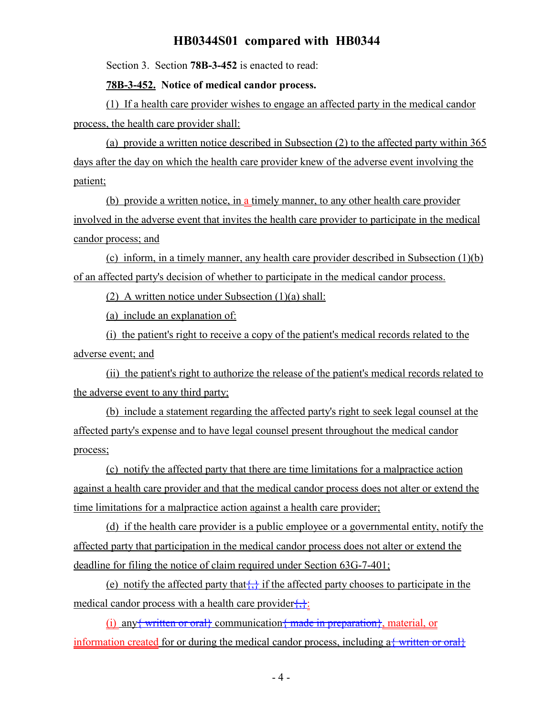Section 3. Section **78B-3-452** is enacted to read:

#### **78B-3-452. Notice of medical candor process.**

(1) If a health care provider wishes to engage an affected party in the medical candor process, the health care provider shall:

(a) provide a written notice described in Subsection (2) to the affected party within 365 days after the day on which the health care provider knew of the adverse event involving the patient;

(b) provide a written notice, in a timely manner, to any other health care provider involved in the adverse event that invites the health care provider to participate in the medical candor process; and

(c) inform, in a timely manner, any health care provider described in Subsection (1)(b) of an affected party's decision of whether to participate in the medical candor process.

(2) A written notice under Subsection (1)(a) shall:

(a) include an explanation of:

(i) the patient's right to receive a copy of the patient's medical records related to the adverse event; and

(ii) the patient's right to authorize the release of the patient's medical records related to the adverse event to any third party;

(b) include a statement regarding the affected party's right to seek legal counsel at the affected party's expense and to have legal counsel present throughout the medical candor process;

(c) notify the affected party that there are time limitations for a malpractice action against a health care provider and that the medical candor process does not alter or extend the time limitations for a malpractice action against a health care provider;

(d) if the health care provider is a public employee or a governmental entity, notify the affected party that participation in the medical candor process does not alter or extend the deadline for filing the notice of claim required under Section 63G-7-401;

(e) notify the affected party that  $\left\{\right\}$  if the affected party chooses to participate in the medical candor process with a health care provider $\{\}$ :

(i) any written or oral communication  $\{\text{made in preparation}\}$ , material, or information created for or during the medical candor process, including  $a\frac{1}{2}$  written or oral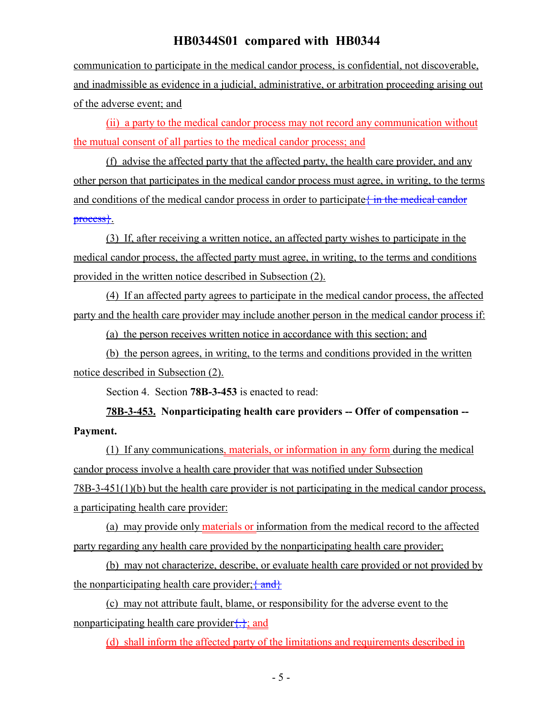communication to participate in the medical candor process, is confidential, not discoverable, and inadmissible as evidence in a judicial, administrative, or arbitration proceeding arising out of the adverse event; and

(ii) a party to the medical candor process may not record any communication without the mutual consent of all parties to the medical candor process; and

(f) advise the affected party that the affected party, the health care provider, and any other person that participates in the medical candor process must agree, in writing, to the terms and conditions of the medical candor process in order to participate  $\frac{1}{2}$  in the medical candor process}.

(3) If, after receiving a written notice, an affected party wishes to participate in the medical candor process, the affected party must agree, in writing, to the terms and conditions provided in the written notice described in Subsection (2).

(4) If an affected party agrees to participate in the medical candor process, the affected party and the health care provider may include another person in the medical candor process if:

(a) the person receives written notice in accordance with this section; and

(b) the person agrees, in writing, to the terms and conditions provided in the written notice described in Subsection (2).

Section 4. Section **78B-3-453** is enacted to read:

**78B-3-453. Nonparticipating health care providers -- Offer of compensation -- Payment.**

(1) If any communications, materials, or information in any form during the medical candor process involve a health care provider that was notified under Subsection 78B-3-451(1)(b) but the health care provider is not participating in the medical candor process, a participating health care provider:

(a) may provide only materials or information from the medical record to the affected party regarding any health care provided by the nonparticipating health care provider;

(b) may not characterize, describe, or evaluate health care provided or not provided by the nonparticipating health care provider;  $\{\text{and}\}$ 

(c) may not attribute fault, blame, or responsibility for the adverse event to the nonparticipating health care provider $\{\cdot\}$ ; and

(d) shall inform the affected party of the limitations and requirements described in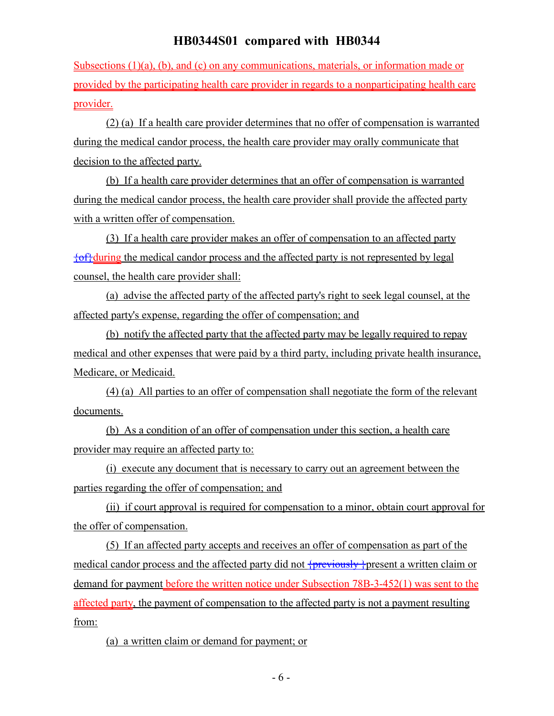Subsections (1)(a), (b), and (c) on any communications, materials, or information made or provided by the participating health care provider in regards to a nonparticipating health care provider.

(2) (a) If a health care provider determines that no offer of compensation is warranted during the medical candor process, the health care provider may orally communicate that decision to the affected party.

(b) If a health care provider determines that an offer of compensation is warranted during the medical candor process, the health care provider shall provide the affected party with a written offer of compensation.

(3) If a health care provider makes an offer of compensation to an affected party  ${of}$ during the medical candor process and the affected party is not represented by legal counsel, the health care provider shall:

(a) advise the affected party of the affected party's right to seek legal counsel, at the affected party's expense, regarding the offer of compensation; and

(b) notify the affected party that the affected party may be legally required to repay medical and other expenses that were paid by a third party, including private health insurance, Medicare, or Medicaid.

(4) (a) All parties to an offer of compensation shall negotiate the form of the relevant documents.

(b) As a condition of an offer of compensation under this section, a health care provider may require an affected party to:

(i) execute any document that is necessary to carry out an agreement between the parties regarding the offer of compensation; and

(ii) if court approval is required for compensation to a minor, obtain court approval for the offer of compensation.

(5) If an affected party accepts and receives an offer of compensation as part of the medical candor process and the affected party did not  $\frac{1}{\text{previously}}$  present a written claim or demand for payment before the written notice under Subsection 78B-3-452(1) was sent to the affected party, the payment of compensation to the affected party is not a payment resulting from:

(a) a written claim or demand for payment; or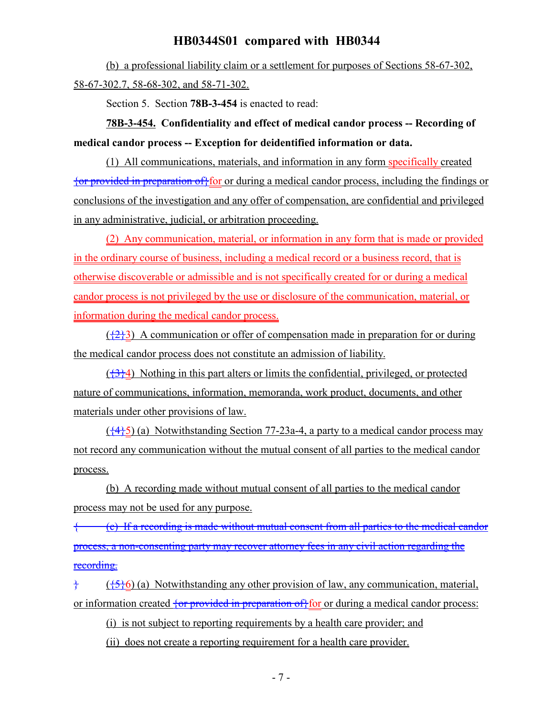(b) a professional liability claim or a settlement for purposes of Sections 58-67-302, 58-67-302.7, 58-68-302, and 58-71-302.

Section 5. Section **78B-3-454** is enacted to read:

**78B-3-454. Confidentiality and effect of medical candor process -- Recording of medical candor process -- Exception for deidentified information or data.**

(1) All communications, materials, and information in any form specifically created {or provided in preparation of}for or during a medical candor process, including the findings or conclusions of the investigation and any offer of compensation, are confidential and privileged in any administrative, judicial, or arbitration proceeding.

(2) Any communication, material, or information in any form that is made or provided in the ordinary course of business, including a medical record or a business record, that is otherwise discoverable or admissible and is not specifically created for or during a medical candor process is not privileged by the use or disclosure of the communication, material, or information during the medical candor process.

 $({223})$  A communication or offer of compensation made in preparation for or during the medical candor process does not constitute an admission of liability.

 $({}^{43}$ <sup>2</sup>) Nothing in this part alters or limits the confidential, privileged, or protected nature of communications, information, memoranda, work product, documents, and other materials under other provisions of law.

 $(\frac{44}{5})$  (a) Notwithstanding Section 77-23a-4, a party to a medical candor process may not record any communication without the mutual consent of all parties to the medical candor process.

(b) A recording made without mutual consent of all parties to the medical candor process may not be used for any purpose.

{ (c) If a recording is made without mutual consent from all parties to the medical candor process, a non-consenting party may recover attorney fees in any civil action regarding the recording.

 $\frac{1}{2}$  ( $\frac{1}{5}$ ) (a) Notwithstanding any other provision of law, any communication, material, or information created  $\frac{1}{2}$  or provided in preparation of for or during a medical candor process:

(i) is not subject to reporting requirements by a health care provider; and

(ii) does not create a reporting requirement for a health care provider.